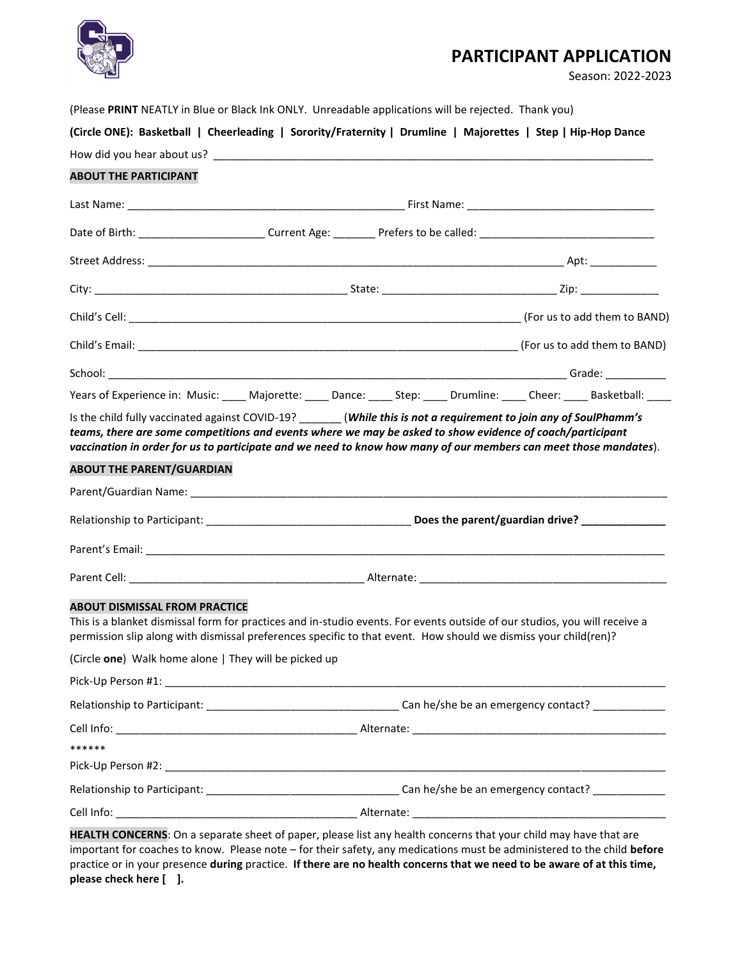

## **PARTICIPANT APPLICATION**

Season: 2022-2023

| (Circle ONE): Basketball   Cheerleading   Sorority/Fraternity   Drumline   Majorettes   Step   Hip-Hop Dance |              |                      |                                      |
|--------------------------------------------------------------------------------------------------------------|--------------|----------------------|--------------------------------------|
| How did you hear about us?                                                                                   |              |                      |                                      |
| <b>ABOUT THE PARTICIPANT</b>                                                                                 |              |                      |                                      |
| Last Name: <u>______________________</u>                                                                     |              |                      | First Name: <u>_________________</u> |
| $Data$ of Rirth:                                                                                             | Currant Agar | Drafarc to ha called |                                      |

(Please **PRINT** NEATLY in Blue or Black Ink ONLY. Unreadable applications will be rejected. Thank you)

| ADOOT THE FARTICIFART                                 |                                                                                                                                                                                                                                               |  |                                                                                                                              |  |  |
|-------------------------------------------------------|-----------------------------------------------------------------------------------------------------------------------------------------------------------------------------------------------------------------------------------------------|--|------------------------------------------------------------------------------------------------------------------------------|--|--|
|                                                       |                                                                                                                                                                                                                                               |  |                                                                                                                              |  |  |
|                                                       |                                                                                                                                                                                                                                               |  |                                                                                                                              |  |  |
|                                                       |                                                                                                                                                                                                                                               |  |                                                                                                                              |  |  |
|                                                       |                                                                                                                                                                                                                                               |  |                                                                                                                              |  |  |
|                                                       |                                                                                                                                                                                                                                               |  |                                                                                                                              |  |  |
|                                                       |                                                                                                                                                                                                                                               |  |                                                                                                                              |  |  |
|                                                       |                                                                                                                                                                                                                                               |  |                                                                                                                              |  |  |
|                                                       |                                                                                                                                                                                                                                               |  | Years of Experience in: Music: _____ Majorette: _____ Dance: _____ Step: _____ Drumline: _____ Cheer: _____ Basketball: ____ |  |  |
|                                                       | Is the child fully vaccinated against COVID-19? _______(While this is not a requirement to join any of SoulPhamm's<br>teams, there are some competitions and events where we may be asked to show evidence of coach/participant               |  | vaccination in order for us to participate and we need to know how many of our members can meet those mandates).             |  |  |
| <b>ABOUT THE PARENT/GUARDIAN</b>                      |                                                                                                                                                                                                                                               |  |                                                                                                                              |  |  |
|                                                       |                                                                                                                                                                                                                                               |  |                                                                                                                              |  |  |
|                                                       |                                                                                                                                                                                                                                               |  |                                                                                                                              |  |  |
|                                                       |                                                                                                                                                                                                                                               |  |                                                                                                                              |  |  |
|                                                       |                                                                                                                                                                                                                                               |  |                                                                                                                              |  |  |
| <b>ABOUT DISMISSAL FROM PRACTICE</b>                  | This is a blanket dismissal form for practices and in-studio events. For events outside of our studios, you will receive a<br>permission slip along with dismissal preferences specific to that event. How should we dismiss your child(ren)? |  |                                                                                                                              |  |  |
| (Circle one) Walk home alone   They will be picked up |                                                                                                                                                                                                                                               |  |                                                                                                                              |  |  |
|                                                       |                                                                                                                                                                                                                                               |  |                                                                                                                              |  |  |
|                                                       |                                                                                                                                                                                                                                               |  |                                                                                                                              |  |  |
|                                                       |                                                                                                                                                                                                                                               |  |                                                                                                                              |  |  |
| ******                                                |                                                                                                                                                                                                                                               |  |                                                                                                                              |  |  |
|                                                       |                                                                                                                                                                                                                                               |  |                                                                                                                              |  |  |
|                                                       |                                                                                                                                                                                                                                               |  |                                                                                                                              |  |  |
|                                                       |                                                                                                                                                                                                                                               |  |                                                                                                                              |  |  |

**HEALTH CONCERNS**: On a separate sheet of paper, please list any health concerns that your child may have that are important for coaches to know. Please note – for their safety, any medications must be administered to the child **before**  practice or in your presence **during** practice. **If there are no health concerns that we need to be aware of at this time, please check here [ ].**